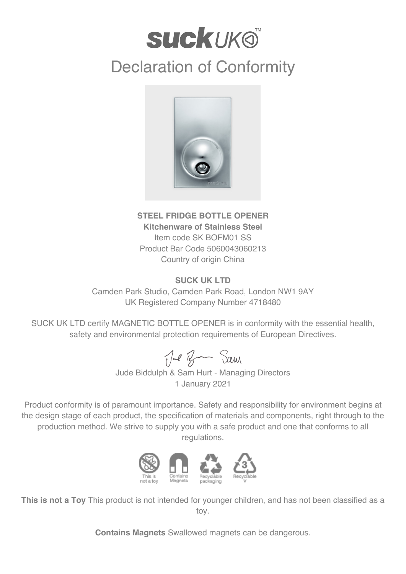## **suckuk®**

## Declaration of Conformity



## **STEEL FRIDGE BOTTLE OPENER Kitchenware of Stainless Steel** Item code SK BOFM01 SS Product Bar Code 5060043060213 Country of origin China

## **SUCK UK LTD**

Camden Park Studio, Camden Park Road, London NW1 9AY UK Registered Company Number 4718480

SUCK UK LTD certify MAGNETIC BOTTLE OPENER is in conformity with the essential health, safety and environmental protection requirements of European Directives.

Jul Ban Sam

Jude Biddulph & Sam Hurt - Managing Directors 1 January 2021

Product conformity is of paramount importance. Safety and responsibility for environment begins at the design stage of each product, the specification of materials and components, right through to the production method. We strive to supply you with a safe product and one that conforms to all regulations.



**This is not a Toy** This product is not intended for younger children, and has not been classified as a toy.

**Contains Magnets** Swallowed magnets can be dangerous.